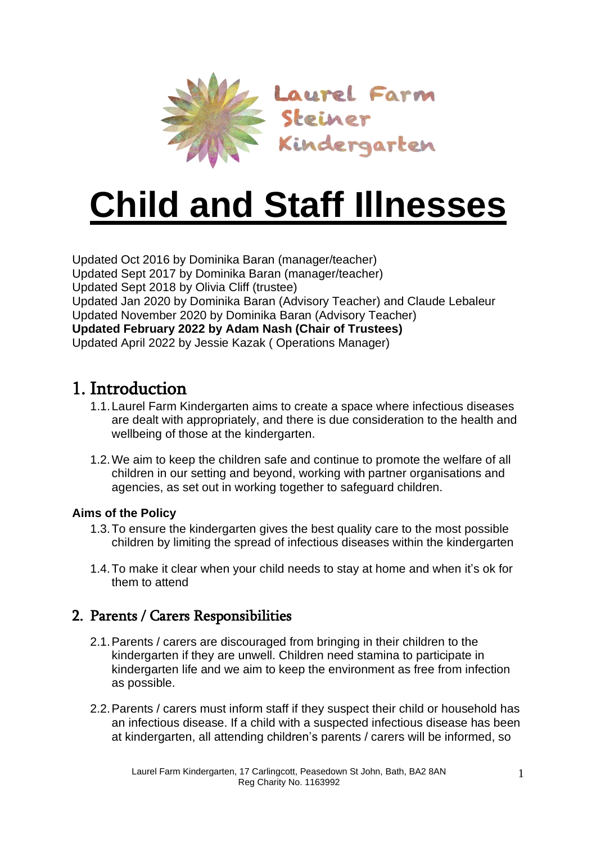

# **Child and Staff Illnesses**

Updated Oct 2016 by Dominika Baran (manager/teacher) Updated Sept 2017 by Dominika Baran (manager/teacher) Updated Sept 2018 by Olivia Cliff (trustee) Updated Jan 2020 by Dominika Baran (Advisory Teacher) and Claude Lebaleur Updated November 2020 by Dominika Baran (Advisory Teacher) **Updated February 2022 by Adam Nash (Chair of Trustees)** Updated April 2022 by Jessie Kazak ( Operations Manager)

## 1. Introduction

- 1.1.Laurel Farm Kindergarten aims to create a space where infectious diseases are dealt with appropriately, and there is due consideration to the health and wellbeing of those at the kindergarten.
- 1.2.We aim to keep the children safe and continue to promote the welfare of all children in our setting and beyond, working with partner organisations and agencies, as set out in working together to [safeguard](https://www.gov.uk/government/publications/working-together-to-safeguard-children--2) children.

#### **Aims of the Policy**

- 1.3.To ensure the kindergarten gives the best quality care to the most possible children by limiting the spread of infectious diseases within the kindergarten
- 1.4.To make it clear when your child needs to stay at home and when it's ok for them to attend

## 2. Parents / Carers Responsibilities

- 2.1.Parents / carers are discouraged from bringing in their children to the kindergarten if they are unwell. Children need stamina to participate in kindergarten life and we aim to keep the environment as free from infection as possible.
- 2.2.Parents / carers must inform staff if they suspect their child or household has an infectious disease. If a child with a suspected infectious disease has been at kindergarten, all attending children's parents / carers will be informed, so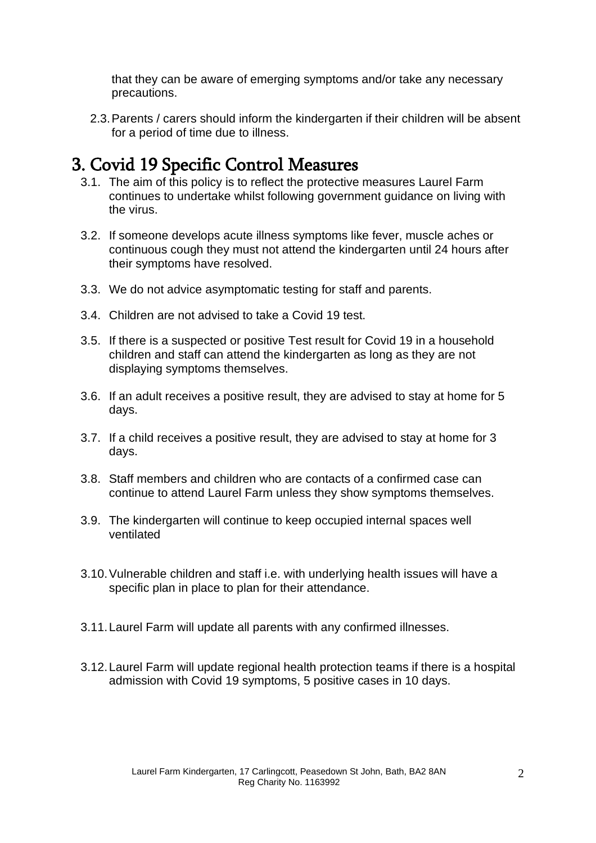that they can be aware of emerging symptoms and/or take any necessary precautions.

2.3.Parents / carers should inform the kindergarten if their children will be absent for a period of time due to illness.

## 3. Covid 19 Specific Control Measures

- 3.1. The aim of this policy is to reflect the protective measures Laurel Farm continues to undertake whilst following government guidance on living with the virus.
- 3.2. If someone develops acute illness symptoms like fever, muscle aches or continuous cough they must not attend the kindergarten until 24 hours after their symptoms have resolved.
- 3.3. We do not advice asymptomatic testing for staff and parents.
- 3.4. Children are not advised to take a Covid 19 test.
- 3.5. If there is a suspected or positive Test result for Covid 19 in a household children and staff can attend the kindergarten as long as they are not displaying symptoms themselves.
- 3.6. If an adult receives a positive result, they are advised to stay at home for 5 days.
- 3.7. If a child receives a positive result, they are advised to stay at home for 3 days.
- 3.8. Staff members and children who are contacts of a confirmed case can continue to attend Laurel Farm unless they show symptoms themselves.
- 3.9. The kindergarten will continue to keep occupied internal spaces well ventilated
- 3.10.Vulnerable children and staff i.e. with underlying health issues will have a specific plan in place to plan for their attendance.
- 3.11.Laurel Farm will update all parents with any confirmed illnesses.
- 3.12.Laurel Farm will update regional health protection teams if there is a hospital admission with Covid 19 symptoms, 5 positive cases in 10 days.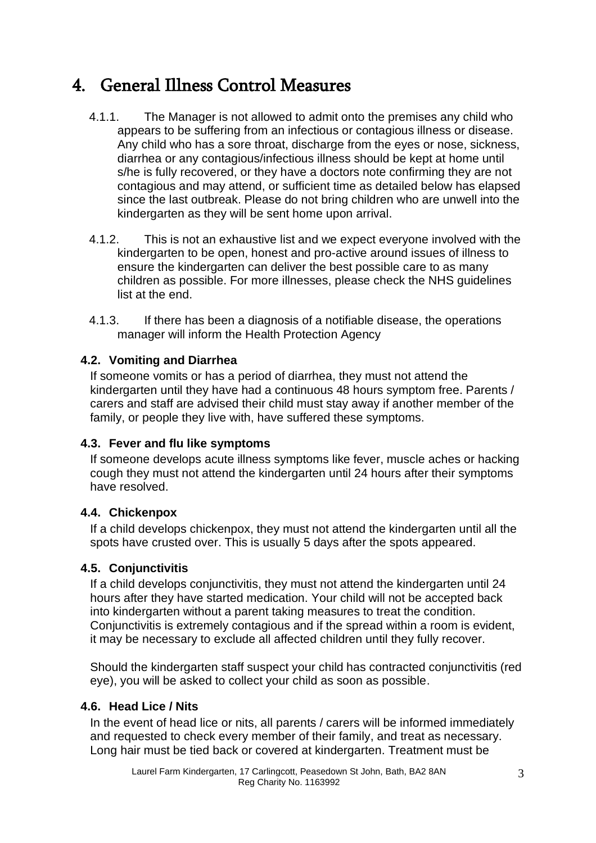# 4. General Illness Control Measures

- 4.1.1. The Manager is not allowed to admit onto the premises any child who appears to be suffering from an infectious or contagious illness or disease. Any child who has a sore throat, discharge from the eyes or nose, sickness, diarrhea or any contagious/infectious illness should be kept at home until s/he is fully recovered, or they have a doctors note confirming they are not contagious and may attend, or sufficient time as detailed below has elapsed since the last outbreak. Please do not bring children who are unwell into the kindergarten as they will be sent home upon arrival.
- 4.1.2. This is not an exhaustive list and we expect everyone involved with the kindergarten to be open, honest and pro-active around issues of illness to ensure the kindergarten can deliver the best possible care to as many children as possible. For more illnesses, please check the NHS guidelines list at the end.
- 4.1.3. If there has been a diagnosis of a notifiable disease, the operations manager will inform the Health Protection Agency

#### **4.2. Vomiting and Diarrhea**

If someone vomits or has a period of diarrhea, they must not attend the kindergarten until they have had a continuous 48 hours symptom free. Parents / carers and staff are advised their child must stay away if another member of the family, or people they live with, have suffered these symptoms.

#### **4.3. Fever and flu like symptoms**

If someone develops acute illness symptoms like fever, muscle aches or hacking cough they must not attend the kindergarten until 24 hours after their symptoms have resolved.

#### **4.4. Chickenpox**

If a child develops chickenpox, they must not attend the kindergarten until all the spots have crusted over. This is usually 5 days after the spots appeared.

#### **4.5. Conjunctivitis**

If a child develops conjunctivitis, they must not attend the kindergarten until 24 hours after they have started medication. Your child will not be accepted back into kindergarten without a parent taking measures to treat the condition. Conjunctivitis is extremely contagious and if the spread within a room is evident, it may be necessary to exclude all affected children until they fully recover.

Should the kindergarten staff suspect your child has contracted conjunctivitis (red eye), you will be asked to collect your child as soon as possible.

#### **4.6. Head Lice / Nits**

In the event of head lice or nits, all parents / carers will be informed immediately and requested to check every member of their family, and treat as necessary. Long hair must be tied back or covered at kindergarten. Treatment must be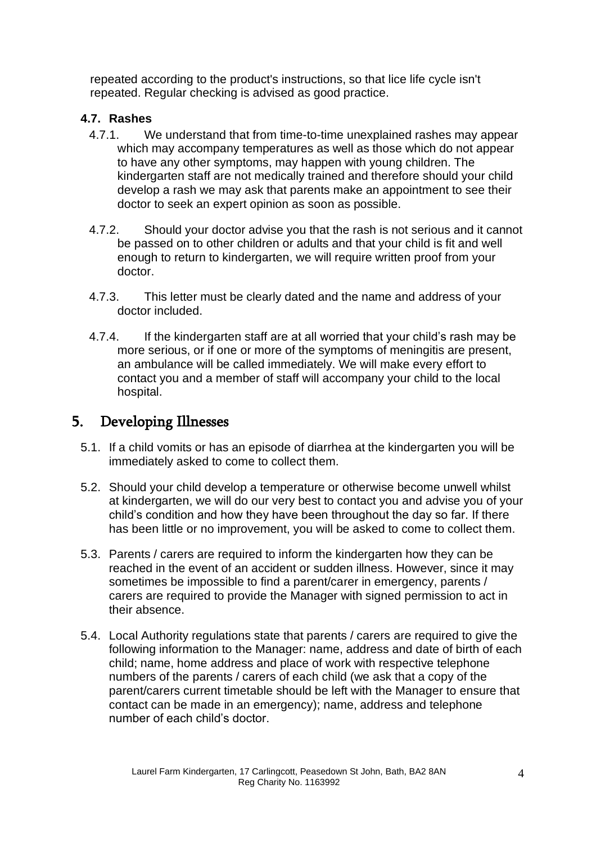repeated according to the product's instructions, so that lice life cycle isn't repeated. Regular checking is advised as good practice.

#### **4.7. Rashes**

- 4.7.1. We understand that from time-to-time unexplained rashes may appear which may accompany temperatures as well as those which do not appear to have any other symptoms, may happen with young children. The kindergarten staff are not medically trained and therefore should your child develop a rash we may ask that parents make an appointment to see their doctor to seek an expert opinion as soon as possible.
- 4.7.2. Should your doctor advise you that the rash is not serious and it cannot be passed on to other children or adults and that your child is fit and well enough to return to kindergarten, we will require written proof from your doctor.
- 4.7.3. This letter must be clearly dated and the name and address of your doctor included.
- 4.7.4. If the kindergarten staff are at all worried that your child's rash may be more serious, or if one or more of the symptoms of meningitis are present, an ambulance will be called immediately. We will make every effort to contact you and a member of staff will accompany your child to the local hospital.

### 5. Developing Illnesses

- 5.1. If a child vomits or has an episode of diarrhea at the kindergarten you will be immediately asked to come to collect them.
- 5.2. Should your child develop a temperature or otherwise become unwell whilst at kindergarten, we will do our very best to contact you and advise you of your child's condition and how they have been throughout the day so far. If there has been little or no improvement, you will be asked to come to collect them.
- 5.3. Parents / carers are required to inform the kindergarten how they can be reached in the event of an accident or sudden illness. However, since it may sometimes be impossible to find a parent/carer in emergency, parents / carers are required to provide the Manager with signed permission to act in their absence.
- 5.4. Local Authority regulations state that parents / carers are required to give the following information to the Manager: name, address and date of birth of each child; name, home address and place of work with respective telephone numbers of the parents / carers of each child (we ask that a copy of the parent/carers current timetable should be left with the Manager to ensure that contact can be made in an emergency); name, address and telephone number of each child's doctor.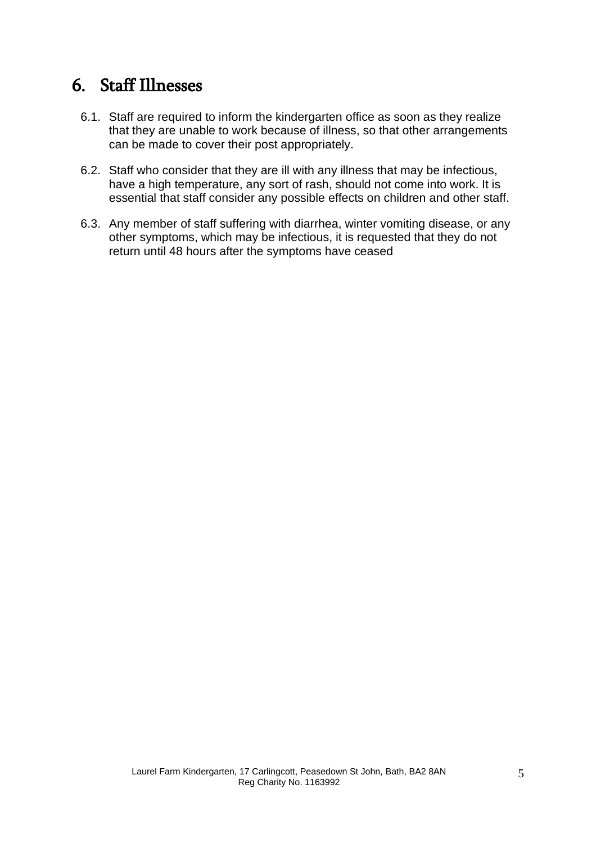## 6. Staff Illnesses

- 6.1. Staff are required to inform the kindergarten office as soon as they realize that they are unable to work because of illness, so that other arrangements can be made to cover their post appropriately.
- 6.2. Staff who consider that they are ill with any illness that may be infectious, have a high temperature, any sort of rash, should not come into work. It is essential that staff consider any possible effects on children and other staff.
- 6.3. Any member of staff suffering with diarrhea, winter vomiting disease, or any other symptoms, which may be infectious, it is requested that they do not return until 48 hours after the symptoms have ceased